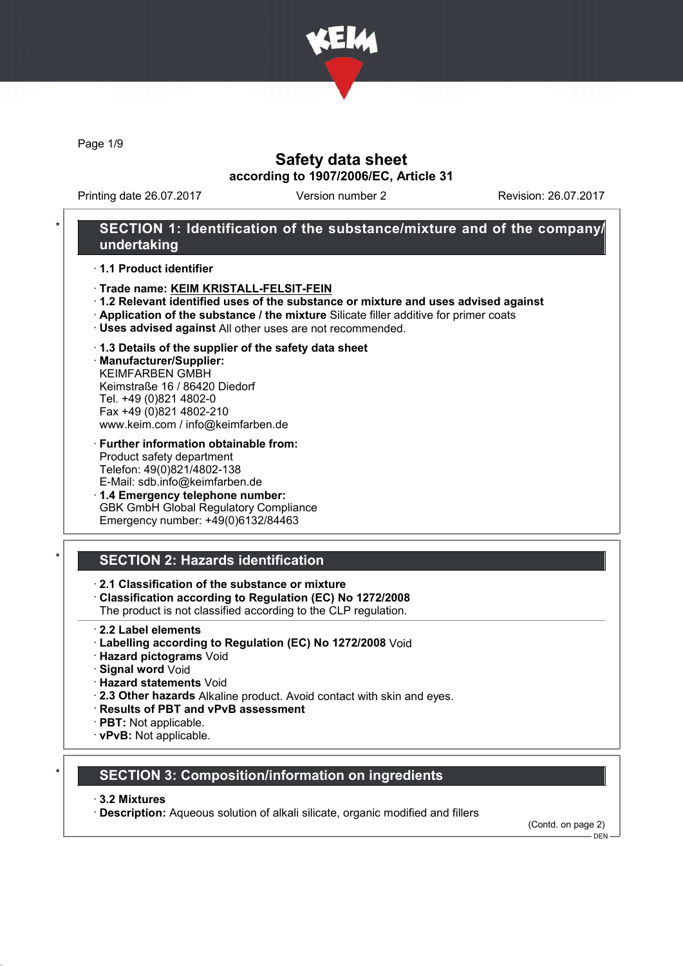

Page 1/9

### Safety data sheet according to 1907/2006/EC, Article 31

Printing date 26.07.2017 Version number 2 Revision: 26.07.2017

### SECTION 1: Identification of the substance/mixture and of the company/ undertaking

· 1.1 Product identifier

- · Trade name: KEIM KRISTALL-FELSIT-FEIN
- · 1.2 Relevant identified uses of the substance or mixture and uses advised against
- · Application of the substance / the mixture Silicate filler additive for primer coats
- · Uses advised against All other uses are not recommended.
- · 1.3 Details of the supplier of the safety data sheet

· Manufacturer/Supplier: KEIMFARBEN GMBH Keimstraße 16 / 86420 Diedorf Tel. +49 (0)821 4802-0 Fax +49 (0)821 4802-210 www.keim.com / info@keimfarben.de

- · Further information obtainable from: Product safety department Telefon: 49(0)821/4802-138 E-Mail: sdb.info@keimfarben.de
- · 1.4 Emergency telephone number: GBK GmbH Global Regulatory Compliance Emergency number: +49(0)6132/84463

## **SECTION 2: Hazards identification**

#### · 2.1 Classification of the substance or mixture

· Classification according to Regulation (EC) No 1272/2008

The product is not classified according to the CLP regulation.

- · 2.2 Label elements
- · Labelling according to Regulation (EC) No 1272/2008 Void
- · Hazard pictograms Void
- · Signal word Void
- · Hazard statements Void
- · 2.3 Other hazards Alkaline product. Avoid contact with skin and eyes.
- · Results of PBT and vPvB assessment
- · PBT: Not applicable.
- · vPvB: Not applicable.

### **SECTION 3: Composition/information on ingredients**

#### · 3.2 Mixtures

· Description: Aqueous solution of alkali silicate, organic modified and fillers

(Contd. on page 2)  $-$  DEN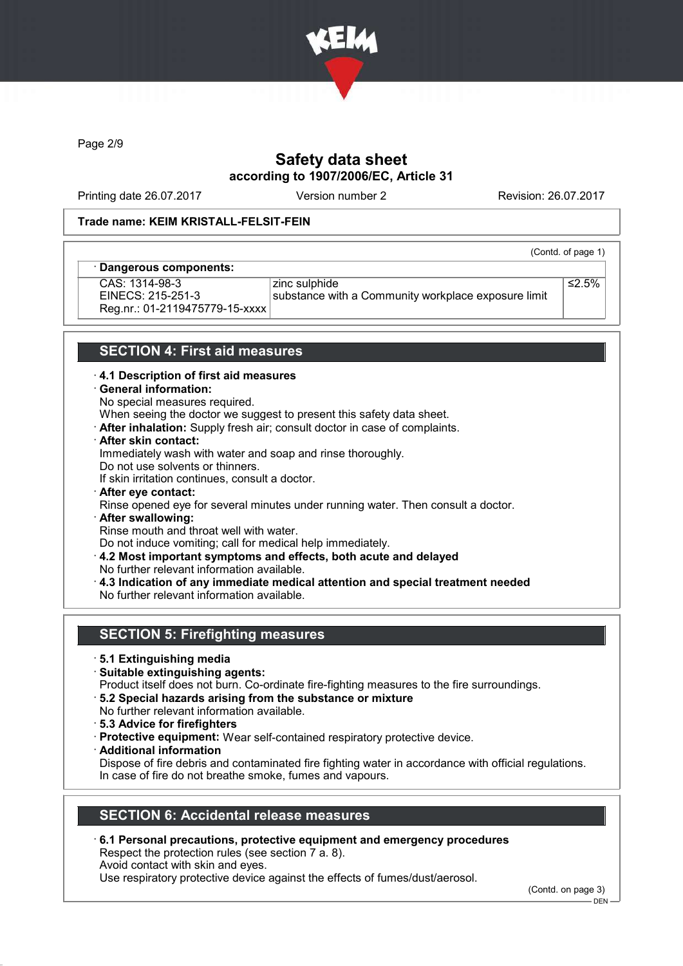

Page 2/9

# Safety data sheet according to 1907/2006/EC, Article 31

Printing date 26.07.2017 Version number 2 Revision: 26.07.2017

#### Trade name: KEIM KRISTALL-FELSIT-FEIN

| · Dangerous components: |                                                     |
|-------------------------|-----------------------------------------------------|
| CAS: 1314-98-3          | zinc sulphide                                       |
| EINECS: 215-251-3       | substance with a Community workplace exposure limit |

(Contd. of page 1)

EINECS: 215-251-3 Reg.nr.: 01-2119475779-15-xxxx ≤2.5%

### SECTION 4: First aid measures

#### · 4.1 Description of first aid measures

#### · General information:

No special measures required.

When seeing the doctor we suggest to present this safety data sheet.

- · After inhalation: Supply fresh air; consult doctor in case of complaints.
- · After skin contact:

Immediately wash with water and soap and rinse thoroughly.

Do not use solvents or thinners.

If skin irritation continues, consult a doctor.

- · After eye contact:
- Rinse opened eye for several minutes under running water. Then consult a doctor.
- · After swallowing: Rinse mouth and throat well with water.

Do not induce vomiting; call for medical help immediately.

- · 4.2 Most important symptoms and effects, both acute and delayed
- No further relevant information available.
- · 4.3 Indication of any immediate medical attention and special treatment needed No further relevant information available.

### SECTION 5: Firefighting measures

- · 5.1 Extinguishing media
- · Suitable extinguishing agents:
- Product itself does not burn. Co-ordinate fire-fighting measures to the fire surroundings.
- · 5.2 Special hazards arising from the substance or mixture
- No further relevant information available.
- · 5.3 Advice for firefighters
- · Protective equipment: Wear self-contained respiratory protective device.
- · Additional information
- Dispose of fire debris and contaminated fire fighting water in accordance with official regulations. In case of fire do not breathe smoke, fumes and vapours.

#### SECTION 6: Accidental release measures

· 6.1 Personal precautions, protective equipment and emergency procedures Respect the protection rules (see section 7 a. 8). Avoid contact with skin and eyes.

Use respiratory protective device against the effects of fumes/dust/aerosol.

(Contd. on page 3)

<sup>-</sup> DEN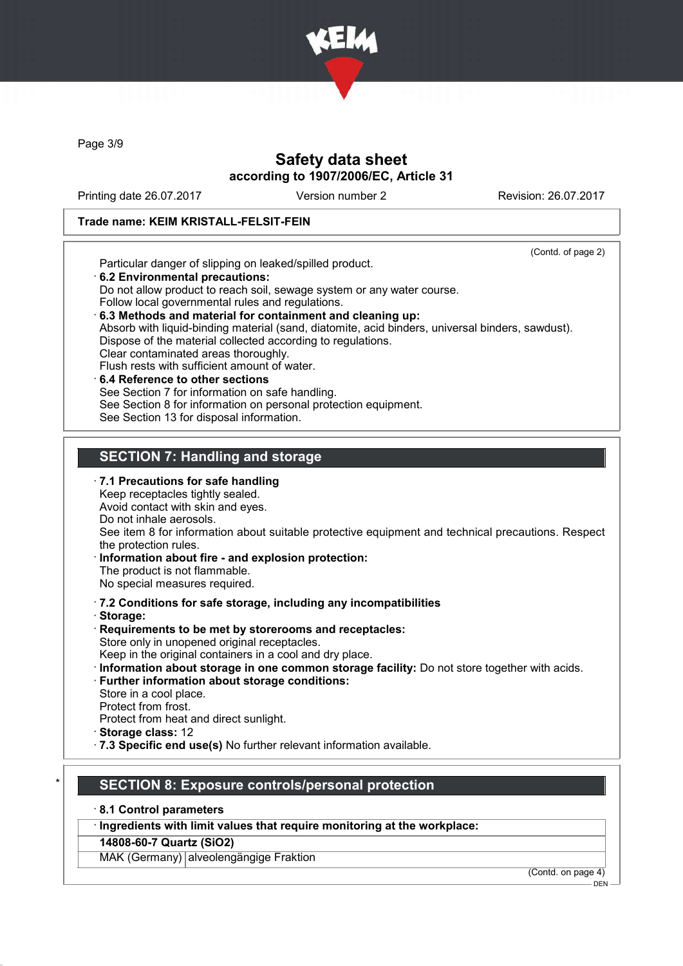

Page 3/9

### Safety data sheet according to 1907/2006/EC, Article 31

Printing date 26.07.2017 Version number 2 Revision: 26.07.2017

#### Trade name: KEIM KRISTALL-FELSIT-FEIN

(Contd. of page 2) Particular danger of slipping on leaked/spilled product. · 6.2 Environmental precautions: Do not allow product to reach soil, sewage system or any water course. Follow local governmental rules and regulations. · 6.3 Methods and material for containment and cleaning up: Absorb with liquid-binding material (sand, diatomite, acid binders, universal binders, sawdust). Dispose of the material collected according to regulations. Clear contaminated areas thoroughly. Flush rests with sufficient amount of water. 6.4 Reference to other sections See Section 7 for information on safe handling. See Section 8 for information on personal protection equipment. See Section 13 for disposal information. SECTION 7: Handling and storage · 7.1 Precautions for safe handling Keep receptacles tightly sealed. Avoid contact with skin and eyes. Do not inhale aerosols. See item 8 for information about suitable protective equipment and technical precautions. Respect the protection rules.

· Information about fire - and explosion protection: The product is not flammable.

No special measures required.

- · 7.2 Conditions for safe storage, including any incompatibilities
- · Storage:
- · Requirements to be met by storerooms and receptacles: Store only in unopened original receptacles.

Keep in the original containers in a cool and dry place.

- · Information about storage in one common storage facility: Do not store together with acids.
- · Further information about storage conditions:

Store in a cool place.

Protect from frost.

- Protect from heat and direct sunlight.
- · Storage class: 12
- · 7.3 Specific end use(s) No further relevant information available.

# SECTION 8: Exposure controls/personal protection

# · 8.1 Control parameters

· Ingredients with limit values that require monitoring at the workplace:

14808-60-7 Quartz (SiO2)

MAK (Germany) alveolengängige Fraktion

(Contd. on page 4)

DEN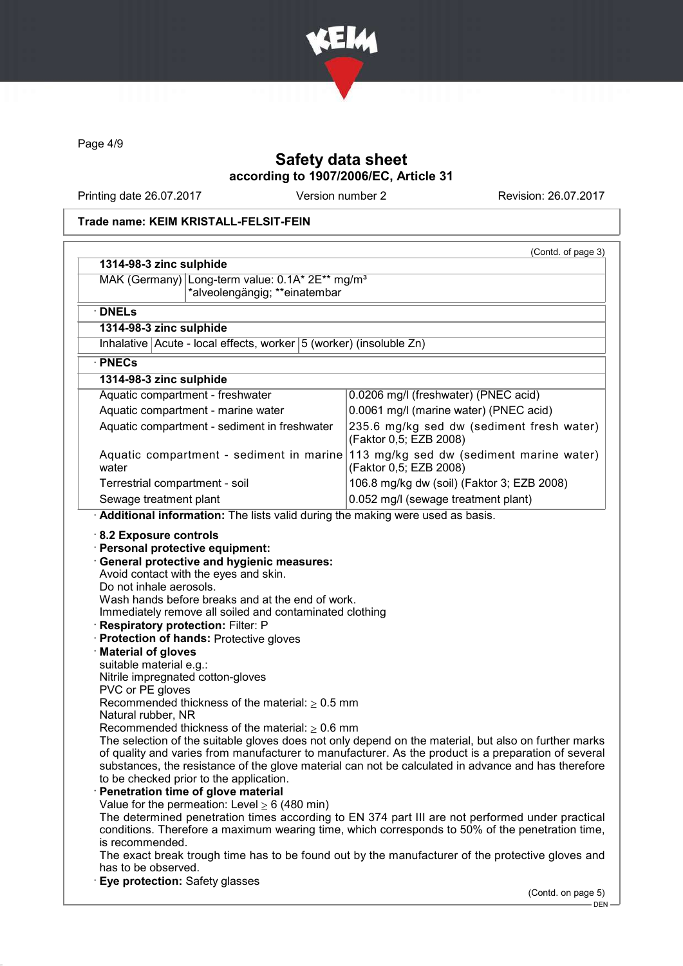

Page 4/9

# Safety data sheet according to 1907/2006/EC, Article 31

Printing date 26.07.2017 Version number 2 Revision: 26.07.2017

### Trade name: KEIM KRISTALL-FELSIT-FEIN

| MAK (Germany) Long-term value: 0.1A* 2E** mg/m <sup>3</sup><br>*alveolengängig; **einatembar                                                                                                                                                                                                                                                                                                                                                                                                                                                                                                                                                                                                                                                                                                                |                                                                     |  |  |                                                                                                                                                                                                                                                                                                                                                                                 |  |
|-------------------------------------------------------------------------------------------------------------------------------------------------------------------------------------------------------------------------------------------------------------------------------------------------------------------------------------------------------------------------------------------------------------------------------------------------------------------------------------------------------------------------------------------------------------------------------------------------------------------------------------------------------------------------------------------------------------------------------------------------------------------------------------------------------------|---------------------------------------------------------------------|--|--|---------------------------------------------------------------------------------------------------------------------------------------------------------------------------------------------------------------------------------------------------------------------------------------------------------------------------------------------------------------------------------|--|
| $\cdot$ DNELs                                                                                                                                                                                                                                                                                                                                                                                                                                                                                                                                                                                                                                                                                                                                                                                               |                                                                     |  |  |                                                                                                                                                                                                                                                                                                                                                                                 |  |
| 1314-98-3 zinc sulphide                                                                                                                                                                                                                                                                                                                                                                                                                                                                                                                                                                                                                                                                                                                                                                                     |                                                                     |  |  |                                                                                                                                                                                                                                                                                                                                                                                 |  |
| Inhalative Acute - local effects, worker 5 (worker) (insoluble Zn)                                                                                                                                                                                                                                                                                                                                                                                                                                                                                                                                                                                                                                                                                                                                          |                                                                     |  |  |                                                                                                                                                                                                                                                                                                                                                                                 |  |
| · PNECs                                                                                                                                                                                                                                                                                                                                                                                                                                                                                                                                                                                                                                                                                                                                                                                                     |                                                                     |  |  |                                                                                                                                                                                                                                                                                                                                                                                 |  |
| 1314-98-3 zinc sulphide                                                                                                                                                                                                                                                                                                                                                                                                                                                                                                                                                                                                                                                                                                                                                                                     |                                                                     |  |  |                                                                                                                                                                                                                                                                                                                                                                                 |  |
| Aquatic compartment - freshwater                                                                                                                                                                                                                                                                                                                                                                                                                                                                                                                                                                                                                                                                                                                                                                            | 0.0206 mg/l (freshwater) (PNEC acid)                                |  |  |                                                                                                                                                                                                                                                                                                                                                                                 |  |
| Aquatic compartment - marine water                                                                                                                                                                                                                                                                                                                                                                                                                                                                                                                                                                                                                                                                                                                                                                          | 0.0061 mg/l (marine water) (PNEC acid)                              |  |  |                                                                                                                                                                                                                                                                                                                                                                                 |  |
| Aquatic compartment - sediment in freshwater                                                                                                                                                                                                                                                                                                                                                                                                                                                                                                                                                                                                                                                                                                                                                                | 235.6 mg/kg sed dw (sediment fresh water)<br>(Faktor 0,5; EZB 2008) |  |  |                                                                                                                                                                                                                                                                                                                                                                                 |  |
| Aquatic compartment - sediment in marine 113 mg/kg sed dw (sediment marine water)<br>water                                                                                                                                                                                                                                                                                                                                                                                                                                                                                                                                                                                                                                                                                                                  | (Faktor 0,5; EZB 2008)                                              |  |  |                                                                                                                                                                                                                                                                                                                                                                                 |  |
| Terrestrial compartment - soil                                                                                                                                                                                                                                                                                                                                                                                                                                                                                                                                                                                                                                                                                                                                                                              | 106.8 mg/kg dw (soil) (Faktor 3; EZB 2008)                          |  |  |                                                                                                                                                                                                                                                                                                                                                                                 |  |
| Sewage treatment plant                                                                                                                                                                                                                                                                                                                                                                                                                                                                                                                                                                                                                                                                                                                                                                                      | 0.052 mg/l (sewage treatment plant)                                 |  |  |                                                                                                                                                                                                                                                                                                                                                                                 |  |
| Immediately remove all soiled and contaminated clothing<br>Respiratory protection: Filter: P<br><b>Protection of hands: Protective gloves</b><br><b>Material of gloves</b><br>suitable material e.g.:<br>Nitrile impregnated cotton-gloves<br>PVC or PE gloves<br>Recommended thickness of the material: $\geq 0.5$ mm<br>Natural rubber, NR<br>Recommended thickness of the material: $\geq 0.6$ mm<br>The selection of the suitable gloves does not only depend on the material, but also on further marks<br>of quality and varies from manufacturer to manufacturer. As the product is a preparation of several<br>substances, the resistance of the glove material can not be calculated in advance and has therefore<br>to be checked prior to the application.<br>Penetration time of glove material |                                                                     |  |  |                                                                                                                                                                                                                                                                                                                                                                                 |  |
|                                                                                                                                                                                                                                                                                                                                                                                                                                                                                                                                                                                                                                                                                                                                                                                                             |                                                                     |  |  |                                                                                                                                                                                                                                                                                                                                                                                 |  |
|                                                                                                                                                                                                                                                                                                                                                                                                                                                                                                                                                                                                                                                                                                                                                                                                             |                                                                     |  |  | Value for the permeation: Level $\geq 6$ (480 min)<br>The determined penetration times according to EN 374 part III are not performed under practical<br>conditions. Therefore a maximum wearing time, which corresponds to 50% of the penetration time,<br>is recommended.<br>The exact break trough time has to be found out by the manufacturer of the protective gloves and |  |
| has to be observed.<br>Eye protection: Safety glasses                                                                                                                                                                                                                                                                                                                                                                                                                                                                                                                                                                                                                                                                                                                                                       |                                                                     |  |  |                                                                                                                                                                                                                                                                                                                                                                                 |  |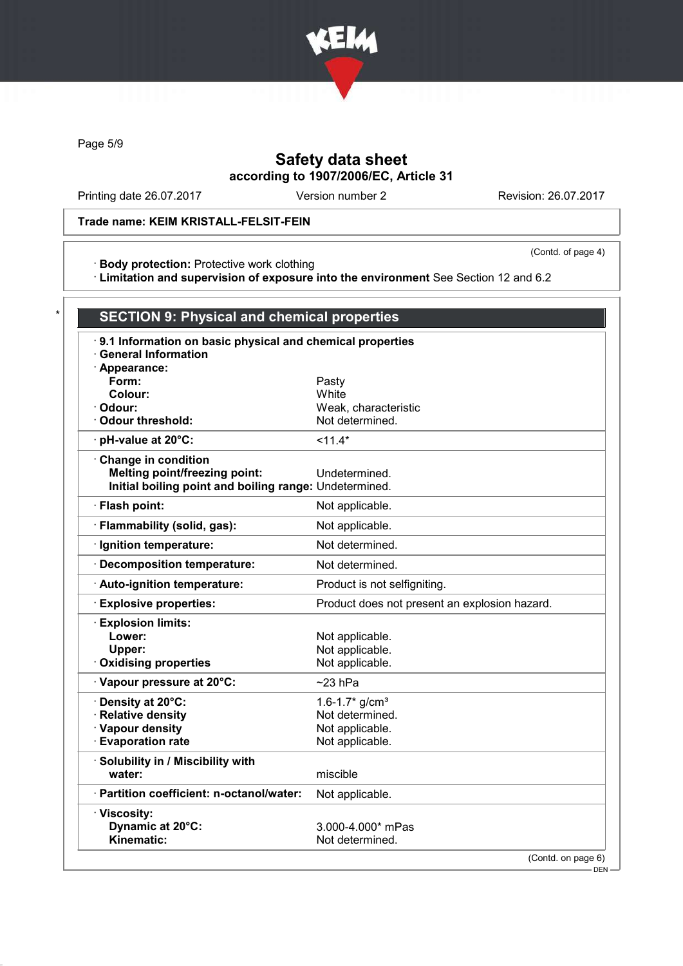

Page 5/9

# Safety data sheet according to 1907/2006/EC, Article 31

Printing date 26.07.2017 Version number 2 Revision: 26.07.2017

### Trade name: KEIM KRISTALL-FELSIT-FEIN

· Body protection: Protective work clothing

(Contd. of page 4)

· Limitation and supervision of exposure into the environment See Section 12 and 6.2

| 9.1 Information on basic physical and chemical properties<br><b>General Information</b> |                                               |
|-----------------------------------------------------------------------------------------|-----------------------------------------------|
|                                                                                         |                                               |
| · Appearance:<br>Form:                                                                  | Pasty                                         |
| Colour:                                                                                 | White                                         |
| Odour:                                                                                  | Weak, characteristic                          |
| <b>Odour threshold:</b>                                                                 | Not determined.                               |
| pH-value at 20°C:                                                                       | $11.4*$                                       |
| Change in condition                                                                     |                                               |
| <b>Melting point/freezing point:</b>                                                    | Undetermined.                                 |
| Initial boiling point and boiling range: Undetermined.                                  |                                               |
| · Flash point:                                                                          | Not applicable.                               |
| · Flammability (solid, gas):                                                            | Not applicable.                               |
| · Ignition temperature:                                                                 | Not determined.                               |
| · Decomposition temperature:                                                            | Not determined.                               |
| · Auto-ignition temperature:                                                            | Product is not selfigniting.                  |
| <b>Explosive properties:</b>                                                            | Product does not present an explosion hazard. |
| · Explosion limits:                                                                     |                                               |
| Lower:                                                                                  | Not applicable.                               |
| Upper:                                                                                  | Not applicable.                               |
| <b>Oxidising properties</b>                                                             | Not applicable.                               |
| · Vapour pressure at 20°C:                                                              | $~23$ hPa                                     |
| · Density at 20°C:                                                                      | 1.6-1.7 $*$ g/cm <sup>3</sup>                 |
| · Relative density                                                                      | Not determined.                               |
| · Vapour density                                                                        | Not applicable.                               |
| <b>Evaporation rate</b>                                                                 | Not applicable.                               |
| · Solubility in / Miscibility with                                                      |                                               |
| water:                                                                                  | miscible                                      |
| · Partition coefficient: n-octanol/water:                                               | Not applicable.                               |
| · Viscosity:                                                                            |                                               |
| Dynamic at 20°C:                                                                        | 3.000-4.000* mPas                             |
| Kinematic:                                                                              | Not determined.                               |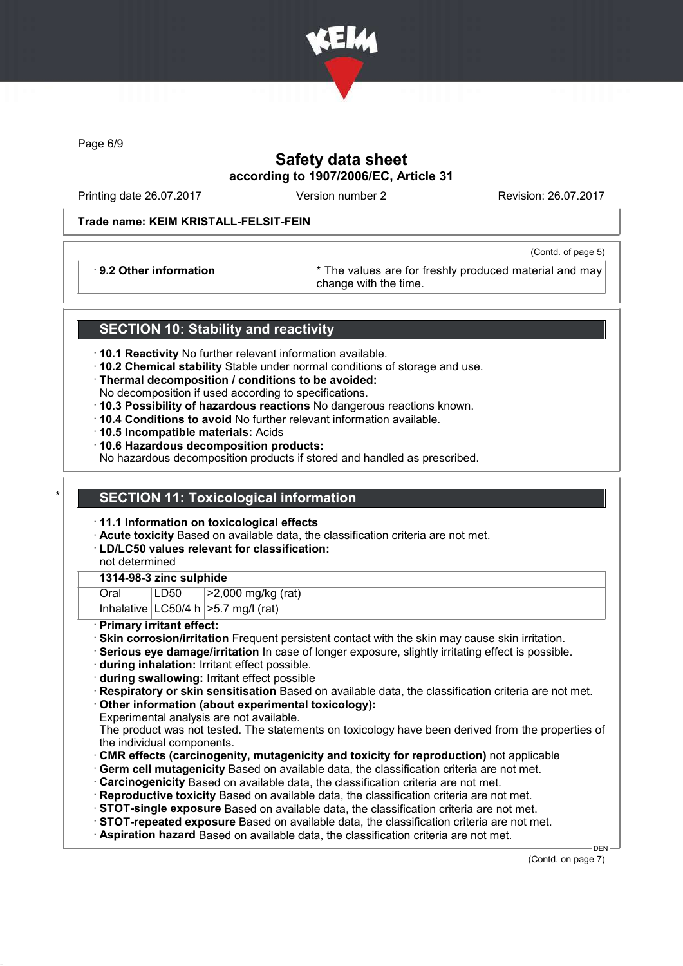

Page 6/9

# Safety data sheet according to 1907/2006/EC, Article 31

Printing date 26.07.2017 Version number 2 Revision: 26.07.2017

(Contd. of page 5)

#### Trade name: KEIM KRISTALL-FELSIT-FEIN

· 9.2 Other information \* The values are for freshly produced material and may change with the time.

### SECTION 10: Stability and reactivity

- · 10.1 Reactivity No further relevant information available.
- · 10.2 Chemical stability Stable under normal conditions of storage and use.
- · Thermal decomposition / conditions to be avoided:
- No decomposition if used according to specifications.
- · 10.3 Possibility of hazardous reactions No dangerous reactions known.
- · 10.4 Conditions to avoid No further relevant information available.
- · 10.5 Incompatible materials: Acids
- · 10.6 Hazardous decomposition products:

No hazardous decomposition products if stored and handled as prescribed.

## **SECTION 11: Toxicological information**

- · 11.1 Information on toxicological effects
- · Acute toxicity Based on available data, the classification criteria are not met.
- · LD/LC50 values relevant for classification:

not determined

### 1314-98-3 zinc sulphide

Oral LD50 >2,000 mg/kg (rat)

Inhalative  $|LC50/4 h| > 5.7$  mg/l (rat)

· Primary irritant effect:

- · Skin corrosion/irritation Frequent persistent contact with the skin may cause skin irritation.
- · Serious eye damage/irritation In case of longer exposure, slightly irritating effect is possible.

· during inhalation: Irritant effect possible.

· during swallowing: Irritant effect possible

· Respiratory or skin sensitisation Based on available data, the classification criteria are not met. · Other information (about experimental toxicology):

Experimental analysis are not available.

The product was not tested. The statements on toxicology have been derived from the properties of the individual components.

- · CMR effects (carcinogenity, mutagenicity and toxicity for reproduction) not applicable
- · Germ cell mutagenicity Based on available data, the classification criteria are not met.

· Carcinogenicity Based on available data, the classification criteria are not met.

· Reproductive toxicity Based on available data, the classification criteria are not met.

· STOT-single exposure Based on available data, the classification criteria are not met.

- · STOT-repeated exposure Based on available data, the classification criteria are not met.
- · Aspiration hazard Based on available data, the classification criteria are not met.

(Contd. on page 7)

DEN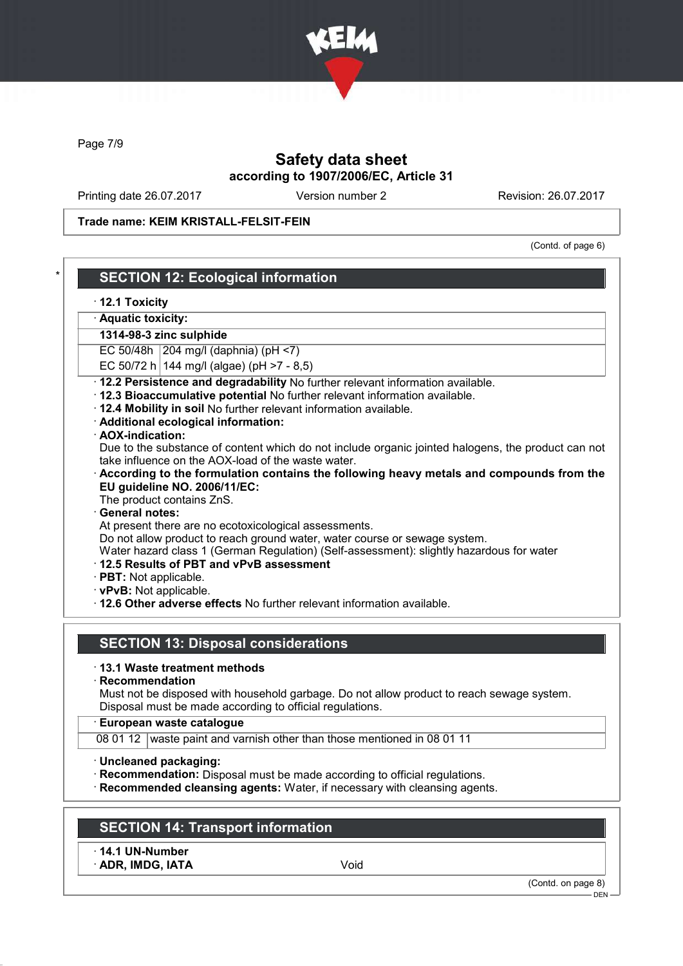

Page 7/9

## Safety data sheet according to 1907/2006/EC, Article 31

Printing date 26.07.2017 Version number 2 Revision: 26.07.2017

Trade name: KEIM KRISTALL-FELSIT-FEIN

(Contd. of page 6)

### **SECTION 12: Ecological information**

· 12.1 Toxicity

· Aquatic toxicity:

1314-98-3 zinc sulphide

EC 50/48h 204 mg/l (daphnia) (pH  $\le$ 7)

- EC 50/72 h 144 mg/l (algae) (pH >7 8,5)
- · 12.2 Persistence and degradability No further relevant information available.
- · 12.3 Bioaccumulative potential No further relevant information available.
- · 12.4 Mobility in soil No further relevant information available.
- · Additional ecological information:
- · AOX-indication:

Due to the substance of content which do not include organic jointed halogens, the product can not take influence on the AOX-load of the waste water.

- · According to the formulation contains the following heavy metals and compounds from the EU guideline NO. 2006/11/EC:
- The product contains ZnS.

#### General notes:

At present there are no ecotoxicological assessments.

Do not allow product to reach ground water, water course or sewage system.

Water hazard class 1 (German Regulation) (Self-assessment): slightly hazardous for water

- · 12.5 Results of PBT and vPvB assessment
- · PBT: Not applicable.
- · vPvB: Not applicable.

· 12.6 Other adverse effects No further relevant information available.

### SECTION 13: Disposal considerations

- · 13.1 Waste treatment methods
- · Recommendation

Must not be disposed with household garbage. Do not allow product to reach sewage system. Disposal must be made according to official regulations.

#### · European waste catalogue

08 01 12 waste paint and varnish other than those mentioned in 08 01 11

- · Uncleaned packaging:
- · Recommendation: Disposal must be made according to official regulations.

· Recommended cleansing agents: Water, if necessary with cleansing agents.

## SECTION 14: Transport information

· 14.1 UN-Number

· ADR, IMDG, IATA Void

(Contd. on page 8)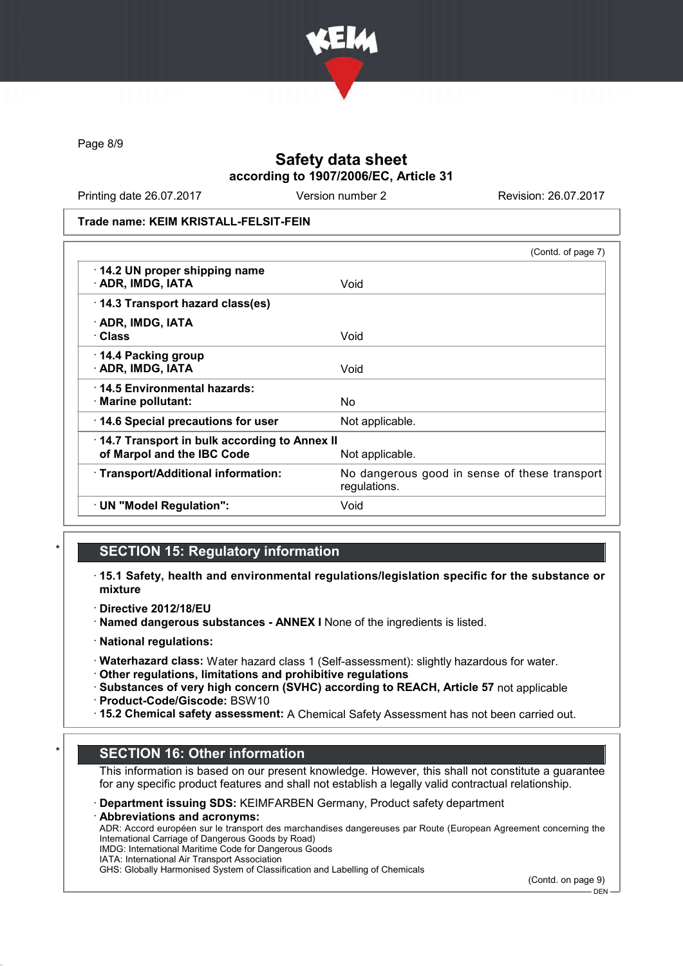

Page 8/9

## Safety data sheet according to 1907/2006/EC, Article 31

Printing date 26.07.2017 Version number 2 Revision: 26.07.2017

Trade name: KEIM KRISTALL-FELSIT-FEIN

|                                                                            | (Contd. of page 7)                                            |
|----------------------------------------------------------------------------|---------------------------------------------------------------|
| 14.2 UN proper shipping name<br>· ADR, IMDG, IATA                          | Void                                                          |
| 14.3 Transport hazard class(es)                                            |                                                               |
| · ADR, IMDG, IATA<br>· Class                                               | Void                                                          |
| 14.4 Packing group<br>· ADR, IMDG, IATA                                    | Void                                                          |
| ⋅14.5 Environmental hazards:<br>$\cdot$ Marine pollutant:                  | No                                                            |
| 14.6 Special precautions for user                                          | Not applicable.                                               |
| 14.7 Transport in bulk according to Annex II<br>of Marpol and the IBC Code | Not applicable.                                               |
| · Transport/Additional information:                                        | No dangerous good in sense of these transport<br>regulations. |
| · UN "Model Regulation":                                                   | Void                                                          |

### **SECTION 15: Regulatory information**

· 15.1 Safety, health and environmental regulations/legislation specific for the substance or mixture

· Directive 2012/18/EU

· Named dangerous substances - ANNEX I None of the ingredients is listed.

· National regulations:

· Waterhazard class: Water hazard class 1 (Self-assessment): slightly hazardous for water.

· Other regulations, limitations and prohibitive regulations

· Substances of very high concern (SVHC) according to REACH, Article 57 not applicable · Product-Code/Giscode: BSW10

· 15.2 Chemical safety assessment: A Chemical Safety Assessment has not been carried out.

#### **SECTION 16: Other information**

This information is based on our present knowledge. However, this shall not constitute a guarantee for any specific product features and shall not establish a legally valid contractual relationship.

#### Department issuing SDS: KEIMFARBEN Germany, Product safety department

Abbreviations and acronyms:

ADR: Accord européen sur le transport des marchandises dangereuses par Route (European Agreement concerning the International Carriage of Dangerous Goods by Road)

IMDG: International Maritime Code for Dangerous Goods IATA: International Air Transport Association

GHS: Globally Harmonised System of Classification and Labelling of Chemicals

(Contd. on page 9)

DEN